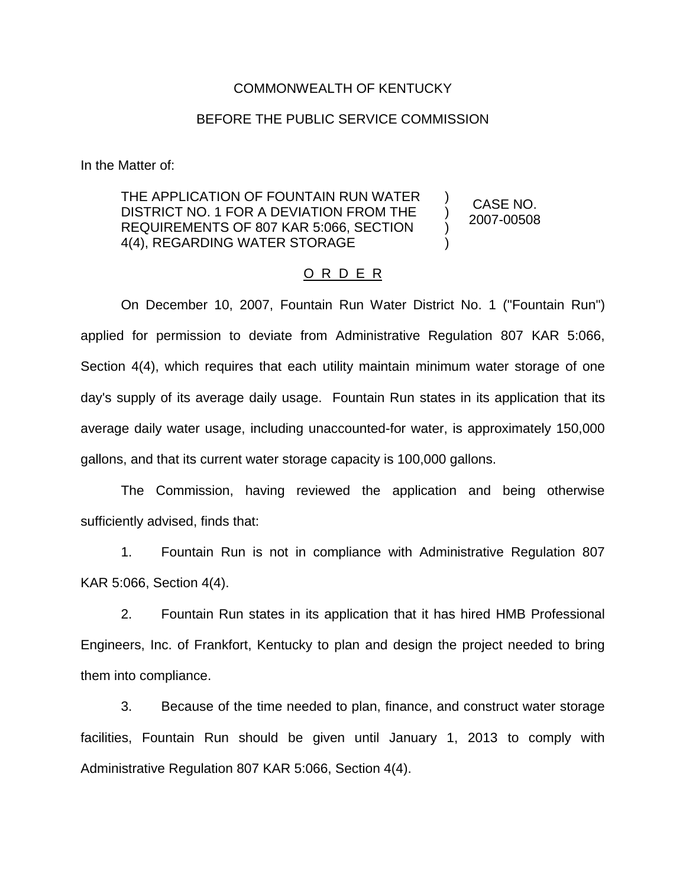## COMMONWEALTH OF KENTUCKY

## BEFORE THE PUBLIC SERVICE COMMISSION

In the Matter of:

## THE APPLICATION OF FOUNTAIN RUN WATER DISTRICT NO. 1 FOR A DEVIATION FROM THE REQUIREMENTS OF 807 KAR 5:066, SECTION 4(4), REGARDING WATER STORAGE ) ) ) ) CASE NO.

2007-00508

## O R D E R

On December 10, 2007, Fountain Run Water District No. 1 ("Fountain Run") applied for permission to deviate from Administrative Regulation 807 KAR 5:066, Section 4(4), which requires that each utility maintain minimum water storage of one day's supply of its average daily usage. Fountain Run states in its application that its average daily water usage, including unaccounted-for water, is approximately 150,000 gallons, and that its current water storage capacity is 100,000 gallons.

The Commission, having reviewed the application and being otherwise sufficiently advised, finds that:

1. Fountain Run is not in compliance with Administrative Regulation 807 KAR 5:066, Section 4(4).

2. Fountain Run states in its application that it has hired HMB Professional Engineers, Inc. of Frankfort, Kentucky to plan and design the project needed to bring them into compliance.

3. Because of the time needed to plan, finance, and construct water storage facilities, Fountain Run should be given until January 1, 2013 to comply with Administrative Regulation 807 KAR 5:066, Section 4(4).